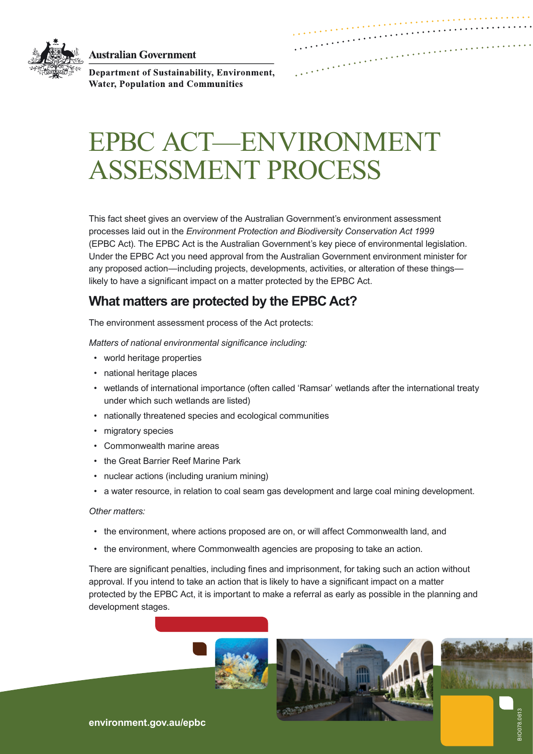**Australian Government** 



Department of Sustainability, Environment, **Water, Population and Communities** 

# EPBC ACT—ENVIRONMENT ASSESSMENT PROCESS

This fact sheet gives an overview of the Australian Government's environment assessment processes laid out in the *Environment Protection and Biodiversity Conservation Act 1999* (EPBC Act). The EPBC Act is the Australian Government's key piece of environmental legislation. Under the EPBC Act you need approval from the Australian Government environment minister for any proposed action—including projects, developments, activities, or alteration of these things likely to have a significant impact on a matter protected by the EPBC Act.

# **What matters are protected by the EPBC Act?**

The environment assessment process of the Act protects:

*Matters of national environmental significance including:*

- world heritage properties
- national heritage places
- wetlands of international importance (often called 'Ramsar' wetlands after the international treaty under which such wetlands are listed)
- nationally threatened species and ecological communities
- migratory species
- Commonwealth marine areas
- the Great Barrier Reef Marine Park
- nuclear actions (including uranium mining)
- a water resource, in relation to coal seam gas development and large coal mining development.

### *Other matters:*

- the environment, where actions proposed are on, or will affect Commonwealth land, and
- the environment, where Commonwealth agencies are proposing to take an action.

There are significant penalties, including fines and imprisonment, for taking such an action without approval. If you intend to take an action that is likely to have a significant impact on a matter protected by the EPBC Act, it is important to make a referral as early as possible in the planning and development stages.





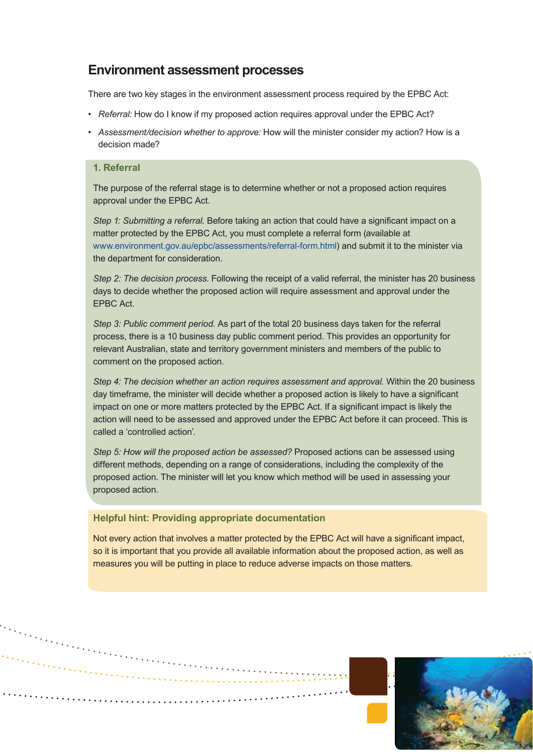## **Environment assessment processes**

There are two key stages in the environment assessment process required by the EPBC Act:

- *Referral:* How do I know if my proposed action requires approval under the EPBC Act?
- *Assessment/decision whether to approve:* How will the minister consider my action? How is a decision made?

### **1. Referral**

The purpose of the referral stage is to determine whether or not a proposed action requires approval under the EPBC Act.

*Step 1: Submitting a referral.* Before taking an action that could have a significant impact on a matter protected by the EPBC Act, you must complete a referral form (available at <www.environment.gov.au/epbc/assessments/referral-form.html>) and submit it to the minister via the department for consideration.

*Step 2: The decision process*. Following the receipt of a valid referral, the minister has 20 business days to decide whether the proposed action will require assessment and approval under the EPBC Act.

*Step 3: Public comment period.* As part of the total 20 business days taken for the referral process, there is a 10 business day public comment period. This provides an opportunity for relevant Australian, state and territory government ministers and members of the public to comment on the proposed action.

*Step 4: The decision whether an action requires assessment and approval.* Within the 20 business day timeframe, the minister will decide whether a proposed action is likely to have a significant impact on one or more matters protected by the EPBC Act. If a significant impact is likely the action will need to be assessed and approved under the EPBC Act before it can proceed. This is called a 'controlled action'.

*Step 5: How will the proposed action be assessed?* Proposed actions can be assessed using different methods, depending on a range of considerations, including the complexity of the proposed action. The minister will let you know which method will be used in assessing your proposed action.

### **Helpful hint: Providing appropriate documentation**

Not every action that involves a matter protected by the EPBC Act will have a significant impact. so it is important that you provide all available information about the proposed action, as well as measures you will be putting in place to reduce adverse impacts on those matters.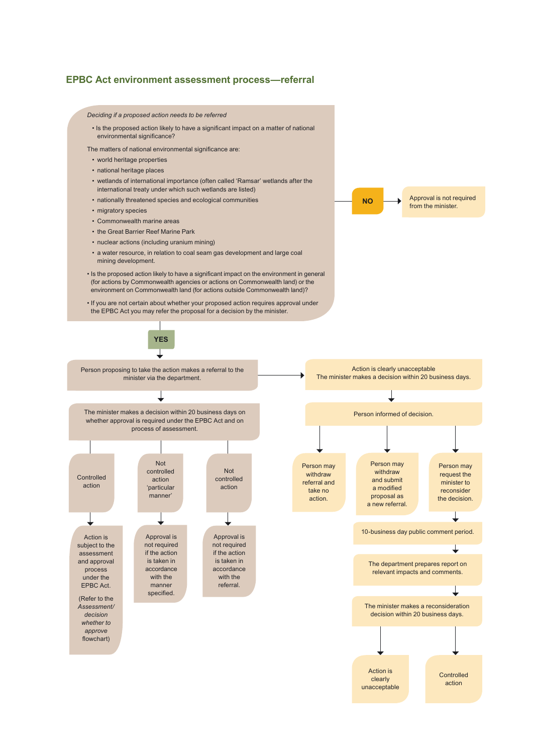### **EPBC Act environment assessment process—referral**

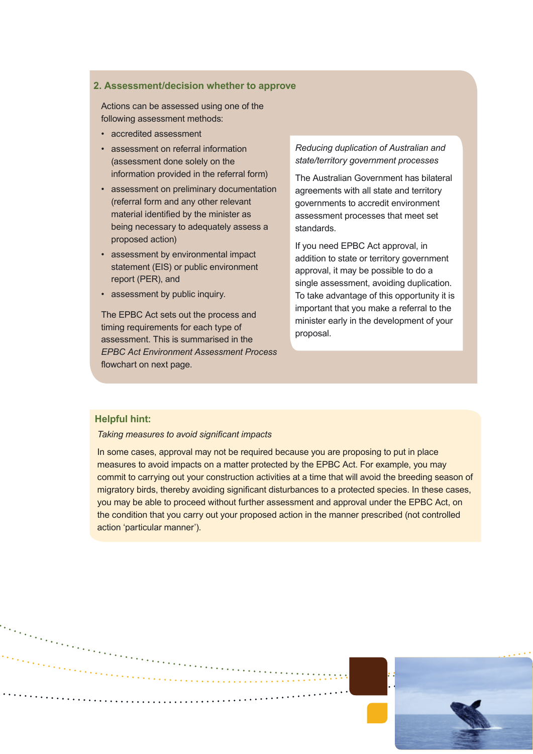### **2. Assessment/decision whether to approve**

Actions can be assessed using one of the following assessment methods:

- accredited assessment
- assessment on referral information (assessment done solely on the information provided in the referral form)
- assessment on preliminary documentation (referral form and any other relevant material identified by the minister as being necessary to adequately assess a proposed action)
- assessment by environmental impact statement (EIS) or public environment report (PER), and
- assessment by public inquiry.

The EPBC Act sets out the process and timing requirements for each type of assessment. This is summarised in the *EPBC Act Environment Assessment Process* flowchart on next page.

### *Reducing duplication of Australian and state/territory government processes*

The Australian Government has bilateral agreements with all state and territory governments to accredit environment assessment processes that meet set standards.

If you need EPBC Act approval, in addition to state or territory government approval, it may be possible to do a single assessment, avoiding duplication. To take advantage of this opportunity it is important that you make a referral to the minister early in the development of your proposal.

### **Helpful hint:**

### *Taking measures to avoid significant impacts*

In some cases, approval may not be required because you are proposing to put in place measures to avoid impacts on a matter protected by the EPBC Act. For example, you may commit to carrying out your construction activities at a time that will avoid the breeding season of migratory birds, thereby avoiding significant disturbances to a protected species. In these cases, you may be able to proceed without further assessment and approval under the EPBC Act, on the condition that you carry out your proposed action in the manner prescribed (not controlled action 'particular manner').

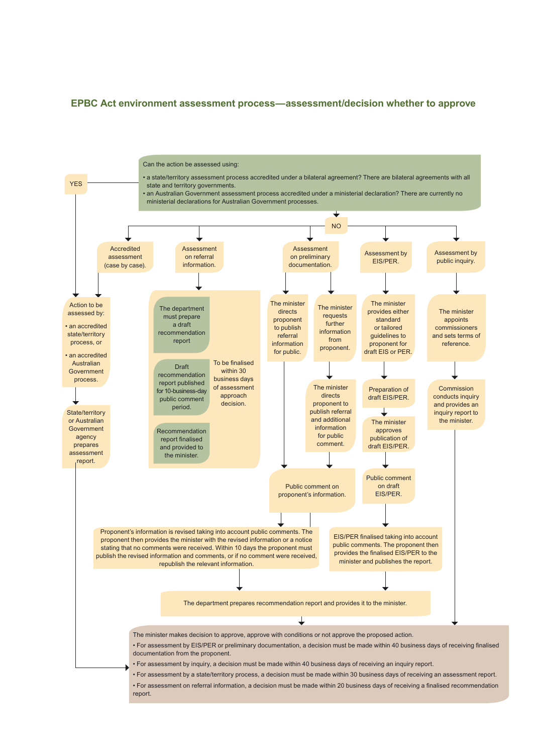### **EPBC Act environment assessment process—assessment/decision whether to approve**

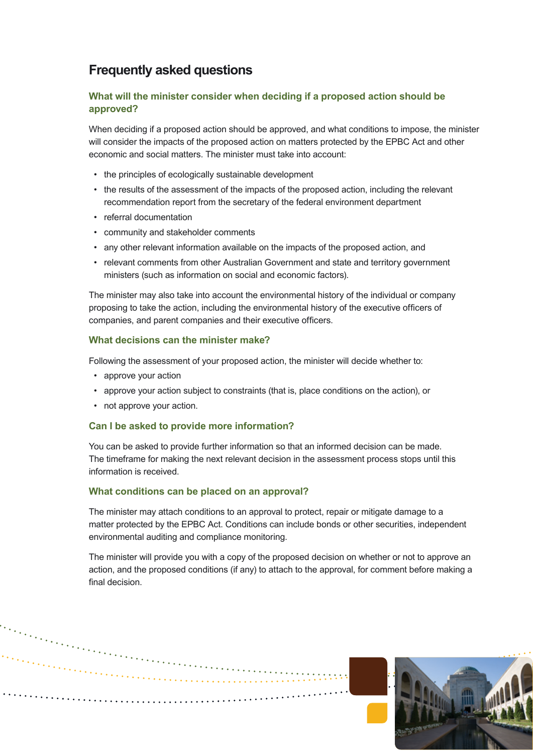# **Frequently asked questions**

### **What will the minister consider when deciding if a proposed action should be approved?**

When deciding if a proposed action should be approved, and what conditions to impose, the minister will consider the impacts of the proposed action on matters protected by the EPBC Act and other economic and social matters. The minister must take into account:

- the principles of ecologically sustainable development
- the results of the assessment of the impacts of the proposed action, including the relevant recommendation report from the secretary of the federal environment department
- referral documentation
- community and stakeholder comments
- any other relevant information available on the impacts of the proposed action, and
- relevant comments from other Australian Government and state and territory government ministers (such as information on social and economic factors).

The minister may also take into account the environmental history of the individual or company proposing to take the action, including the environmental history of the executive officers of companies, and parent companies and their executive officers.

### **What decisions can the minister make?**

Following the assessment of your proposed action, the minister will decide whether to:

- approve your action
- approve your action subject to constraints (that is, place conditions on the action), or
- not approve your action.

### **Can I be asked to provide more information?**

You can be asked to provide further information so that an informed decision can be made. The timeframe for making the next relevant decision in the assessment process stops until this information is received.

### **What conditions can be placed on an approval?**

The minister may attach conditions to an approval to protect, repair or mitigate damage to a matter protected by the EPBC Act. Conditions can include bonds or other securities, independent environmental auditing and compliance monitoring.

The minister will provide you with a copy of the proposed decision on whether or not to approve an action, and the proposed conditions (if any) to attach to the approval, for comment before making a final decision.